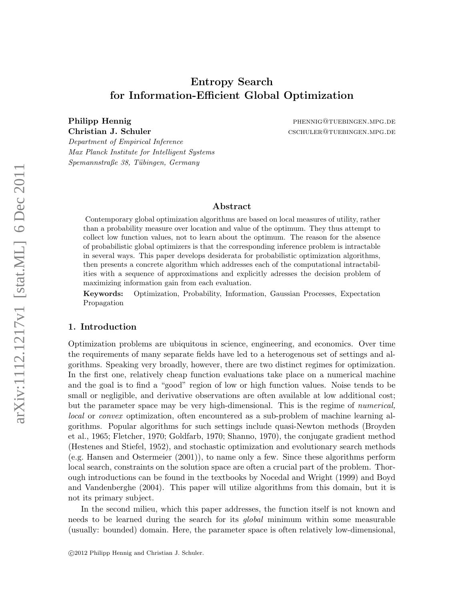# Entropy Search for Information-Efficient Global Optimization

Philipp Hennig **phenomena and phenomena and phenomena and phenomena and phenomena and phenomena and phenomena and phenomena and phenomena and phenomena and phenomena and phenomena and phenomena and phenomena and phenomena** Christian J. Schuler CSCHULER@TUEBINGEN.MPG.DE

Department of Empirical Inference Max Planck Institute for Intelligent Systems Spemannstraße 38, Tübingen, Germany

#### Abstract

Contemporary global optimization algorithms are based on local measures of utility, rather than a probability measure over location and value of the optimum. They thus attempt to collect low function values, not to learn about the optimum. The reason for the absence of probabilistic global optimizers is that the corresponding inference problem is intractable in several ways. This paper develops desiderata for probabilistic optimization algorithms, then presents a concrete algorithm which addresses each of the computational intractabilities with a sequence of approximations and explicitly adresses the decision problem of maximizing information gain from each evaluation.

Keywords: Optimization, Probability, Information, Gaussian Processes, Expectation Propagation

#### 1. Introduction

Optimization problems are ubiquitous in science, engineering, and economics. Over time the requirements of many separate fields have led to a heterogenous set of settings and algorithms. Speaking very broadly, however, there are two distinct regimes for optimization. In the first one, relatively cheap function evaluations take place on a numerical machine and the goal is to find a "good" region of low or high function values. Noise tends to be small or negligible, and derivative observations are often available at low additional cost; but the parameter space may be very high-dimensional. This is the regime of numerical, local or convex optimization, often encountered as a sub-problem of machine learning algorithms. Popular algorithms for such settings include quasi-Newton methods (Broyden et al., 1965; Fletcher, 1970; Goldfarb, 1970; Shanno, 1970), the conjugate gradient method (Hestenes and Stiefel, 1952), and stochastic optimization and evolutionary search methods (e.g. Hansen and Ostermeier (2001)), to name only a few. Since these algorithms perform local search, constraints on the solution space are often a crucial part of the problem. Thorough introductions can be found in the textbooks by Nocedal and Wright (1999) and Boyd and Vandenberghe (2004). This paper will utilize algorithms from this domain, but it is not its primary subject.

In the second milieu, which this paper addresses, the function itself is not known and needs to be learned during the search for its global minimum within some measurable (usually: bounded) domain. Here, the parameter space is often relatively low-dimensional,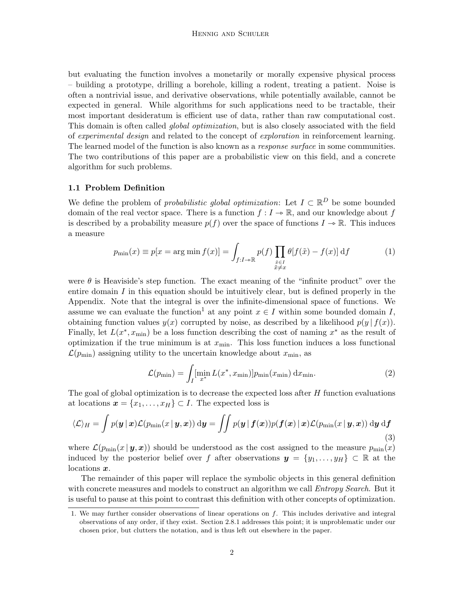but evaluating the function involves a monetarily or morally expensive physical process – building a prototype, drilling a borehole, killing a rodent, treating a patient. Noise is often a nontrivial issue, and derivative observations, while potentially available, cannot be expected in general. While algorithms for such applications need to be tractable, their most important desideratum is efficient use of data, rather than raw computational cost. This domain is often called global optimization, but is also closely associated with the field of experimental design and related to the concept of exploration in reinforcement learning. The learned model of the function is also known as a *response surface* in some communities. The two contributions of this paper are a probabilistic view on this field, and a concrete algorithm for such problems.

## 1.1 Problem Definition

We define the problem of *probabilistic global optimization*: Let  $I \subset \mathbb{R}^D$  be some bounded domain of the real vector space. There is a function  $f: I \to \mathbb{R}$ , and our knowledge about f is described by a probability measure  $p(f)$  over the space of functions  $I \rightarrow \mathbb{R}$ . This induces a measure

$$
p_{\min}(x) \equiv p[x = \arg\min f(x)] = \int_{f:I \to \mathbb{R}} p(f) \prod_{\substack{\tilde{x} \in I \\ \tilde{x} \neq x}} \theta[f(\tilde{x}) - f(x)] \, \mathrm{d}f \tag{1}
$$

were  $\theta$  is Heaviside's step function. The exact meaning of the "infinite product" over the entire domain  $I$  in this equation should be intuitively clear, but is defined properly in the Appendix. Note that the integral is over the infinite-dimensional space of functions. We assume we can evaluate the function<sup>1</sup> at any point  $x \in I$  within some bounded domain I, obtaining function values  $y(x)$  corrupted by noise, as described by a likelihood  $p(y | f(x))$ . Finally, let  $L(x^*, x_{\text{min}})$  be a loss function describing the cost of naming  $x^*$  as the result of optimization if the true minimum is at  $x_{\min}$ . This loss function induces a loss functional  $\mathcal{L}(p_{\min})$  assigning utility to the uncertain knowledge about  $x_{\min}$ , as

$$
\mathcal{L}(p_{\min}) = \int_{I} [\min_{x^*} L(x^*, x_{\min})] p_{\min}(x_{\min}) \, \mathrm{d}x_{\min}.
$$
 (2)

The goal of global optimization is to decrease the expected loss after  $H$  function evaluations at locations  $\mathbf{x} = \{x_1, \ldots, x_H\} \subset I$ . The expected loss is

$$
\langle \mathcal{L} \rangle_H = \int p(\mathbf{y} \,|\, \mathbf{x}) \mathcal{L}(p_{\min}(x \,|\, \mathbf{y}, \mathbf{x})) \, \mathrm{d}\mathbf{y} = \iint p(\mathbf{y} \,|\, \mathbf{f}(\mathbf{x})) p(\mathbf{f}(\mathbf{x}) \,|\, \mathbf{x}) \mathcal{L}(p_{\min}(x \,|\, \mathbf{y}, \mathbf{x})) \, \mathrm{d}\mathbf{y} \, \mathrm{d}\mathbf{f}
$$
\n(3)

where  $\mathcal{L}(p_{\min}(x \mid \bm{y}, \bm{x}))$  should be understood as the cost assigned to the measure  $p_{\min}(x)$ induced by the posterior belief over f after observations  $y = \{y_1, \ldots, y_H\} \subset \mathbb{R}$  at the locations x.

The remainder of this paper will replace the symbolic objects in this general definition with concrete measures and models to construct an algorithm we call *Entropy Search*. But it is useful to pause at this point to contrast this definition with other concepts of optimization.

<sup>1.</sup> We may further consider observations of linear operations on f. This includes derivative and integral observations of any order, if they exist. Section 2.8.1 addresses this point; it is unproblematic under our chosen prior, but clutters the notation, and is thus left out elsewhere in the paper.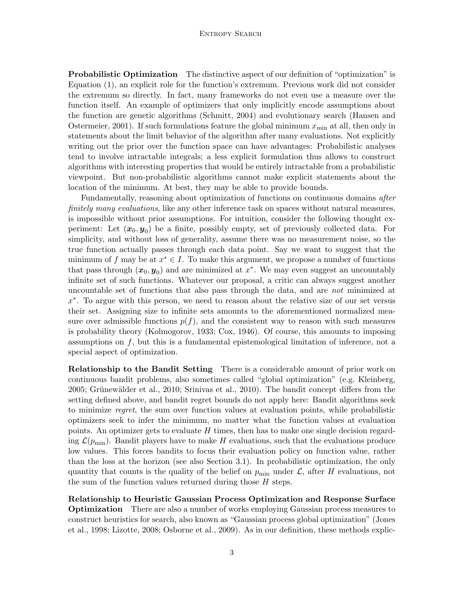#### Entropy Search

**Probabilistic Optimization** The distinctive aspect of our definition of "optimization" is Equation (1), an explicit role for the function's extremum. Previous work did not consider the extremum so directly. In fact, many frameworks do not even use a measure over the function itself. An example of optimizers that only implicitly encode assumptions about the function are genetic algorithms (Schmitt, 2004) and evolutionary search (Hansen and Ostermeier, 2001). If such formulations feature the global minimum  $x_{\min}$  at all, then only in statements about the limit behavior of the algorithm after many evaluations. Not explicitly writing out the prior over the function space can have advantages: Probabilistic analyses tend to involve intractable integrals; a less explicit formulation thus allows to construct algorithms with interesting properties that would be entirely intractable from a probabilistic viewpoint. But non-probabilistic algorithms cannot make explicit statements about the location of the minimum. At best, they may be able to provide bounds.

Fundamentally, reasoning about optimization of functions on continuous domains after finitely many evaluations, like any other inference task on spaces without natural measures, is impossible without prior assumptions. For intuition, consider the following thought experiment: Let  $(x_0, y_0)$  be a finite, possibly empty, set of previously collected data. For simplicity, and without loss of generality, assume there was no measurement noise, so the true function actually passes through each data point. Say we want to suggest that the minimum of f may be at  $x^* \in I$ . To make this argument, we propose a number of functions that pass through  $(x_0, y_0)$  and are minimized at  $x^*$ . We may even suggest an uncountably infinite set of such functions. Whatever our proposal, a critic can always suggest another uncountable set of functions that also pass through the data, and are not minimized at x ∗ . To argue with this person, we need to reason about the relative size of our set versus their set. Assigning size to infinite sets amounts to the aforementioned normalized measure over admissible functions  $p(f)$ , and the consistent way to reason with such measures is probability theory (Kolmogorov, 1933; Cox, 1946). Of course, this amounts to imposing assumptions on f, but this is a fundamental epistemological limitation of inference, not a special aspect of optimization.

Relationship to the Bandit Setting There is a considerable amount of prior work on continuous bandit problems, also sometimes called "global optimization" (e.g. Kleinberg,  $2005$ ; Grünewälder et al.,  $2010$ ; Srinivas et al.,  $2010$ ). The bandit concept differs from the setting defined above, and bandit regret bounds do not apply here: Bandit algorithms seek to minimize regret, the sum over function values at evaluation points, while probabilistic optimizers seek to infer the minimum, no matter what the function values at evaluation points. An optimizer gets to evaluate H times, then has to make one single decision regarding  $\mathcal{L}(p_{\min})$ . Bandit players have to make H evaluations, such that the evaluations produce low values. This forces bandits to focus their evaluation policy on function value, rather than the loss at the horizon (see also Section 3.1). In probabilistic optimization, the only quantity that counts is the quality of the belief on  $p_{\min}$  under L, after H evaluations, not the sum of the function values returned during those  $H$  steps.

Relationship to Heuristic Gaussian Process Optimization and Response Surface Optimization There are also a number of works employing Gaussian process measures to construct heuristics for search, also known as "Gaussian process global optimization" (Jones et al., 1998; Lizotte, 2008; Osborne et al., 2009). As in our definition, these methods explic-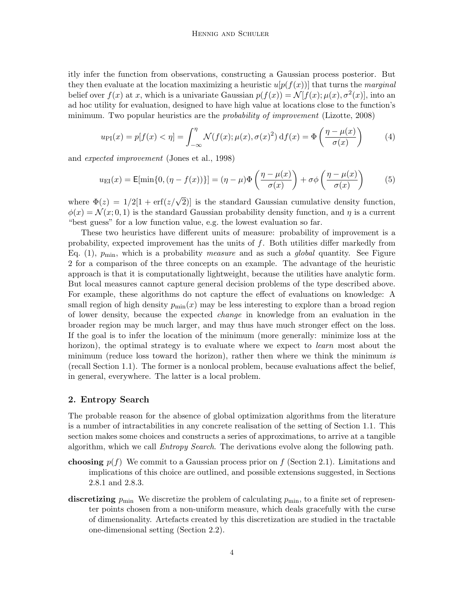itly infer the function from observations, constructing a Gaussian process posterior. But they then evaluate at the location maximizing a heuristic  $u[p(f(x))]$  that turns the *marginal* belief over  $f(x)$  at x, which is a univariate Gaussian  $p(f(x)) = \mathcal{N}[f(x); \mu(x), \sigma^2(x)]$ , into an ad hoc utility for evaluation, designed to have high value at locations close to the function's minimum. Two popular heuristics are the *probability of improvement* (Lizotte, 2008)

$$
u_{\text{PI}}(x) = p[f(x) < \eta] = \int_{-\infty}^{\eta} \mathcal{N}(f(x); \mu(x), \sigma(x)^2) \, \mathrm{d}f(x) = \Phi\left(\frac{\eta - \mu(x)}{\sigma(x)}\right) \tag{4}
$$

and expected improvement (Jones et al., 1998)

$$
u_{\rm EI}(x) = \mathsf{E}[\min\{0, (\eta - f(x))\}] = (\eta - \mu)\Phi\left(\frac{\eta - \mu(x)}{\sigma(x)}\right) + \sigma\phi\left(\frac{\eta - \mu(x)}{\sigma(x)}\right) \tag{5}
$$

where  $\Phi(z) = 1/2[1 + \text{erf}(z/\sqrt{2})]$  is the standard Gaussian cumulative density function,  $\phi(x) = \mathcal{N}(x; 0, 1)$  is the standard Gaussian probability density function, and  $\eta$  is a current "best guess" for a low function value, e.g. the lowest evaluation so far.

These two heuristics have different units of measure: probability of improvement is a probability, expected improvement has the units of f. Both utilities differ markedly from Eq. (1),  $p_{\text{min}}$ , which is a probability *measure* and as such a *global* quantity. See Figure 2 for a comparison of the three concepts on an example. The advantage of the heuristic approach is that it is computationally lightweight, because the utilities have analytic form. But local measures cannot capture general decision problems of the type described above. For example, these algorithms do not capture the effect of evaluations on knowledge: A small region of high density  $p_{\min}(x)$  may be less interesting to explore than a broad region of lower density, because the expected change in knowledge from an evaluation in the broader region may be much larger, and may thus have much stronger effect on the loss. If the goal is to infer the location of the minimum (more generally: minimize loss at the horizon), the optimal strategy is to evaluate where we expect to *learn* most about the minimum (reduce loss toward the horizon), rather then where we think the minimum is (recall Section 1.1). The former is a nonlocal problem, because evaluations affect the belief, in general, everywhere. The latter is a local problem.

## 2. Entropy Search

The probable reason for the absence of global optimization algorithms from the literature is a number of intractabilities in any concrete realisation of the setting of Section 1.1. This section makes some choices and constructs a series of approximations, to arrive at a tangible algorithm, which we call Entropy Search. The derivations evolve along the following path.

- choosing  $p(f)$  We commit to a Gaussian process prior on f (Section 2.1). Limitations and implications of this choice are outlined, and possible extensions suggested, in Sections 2.8.1 and 2.8.3.
- discretizing  $p_{\min}$ . We discretize the problem of calculating  $p_{\min}$ , to a finite set of representer points chosen from a non-uniform measure, which deals gracefully with the curse of dimensionality. Artefacts created by this discretization are studied in the tractable one-dimensional setting (Section 2.2).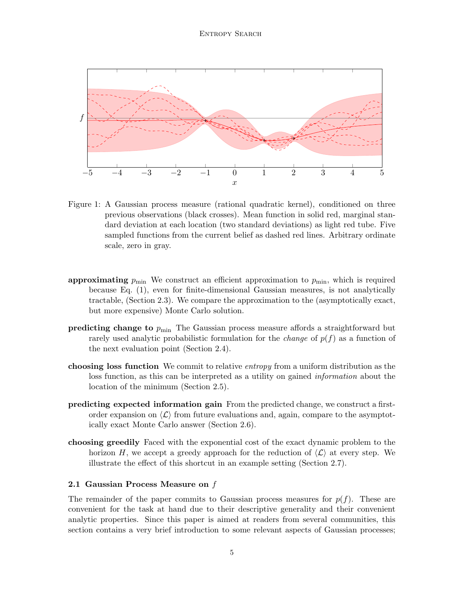#### Entropy Search



Figure 1: A Gaussian process measure (rational quadratic kernel), conditioned on three previous observations (black crosses). Mean function in solid red, marginal standard deviation at each location (two standard deviations) as light red tube. Five sampled functions from the current belief as dashed red lines. Arbitrary ordinate scale, zero in gray.

- approximating  $p_{\text{min}}$  We construct an efficient approximation to  $p_{\text{min}}$ , which is required because Eq. (1), even for finite-dimensional Gaussian measures, is not analytically tractable, (Section 2.3). We compare the approximation to the (asymptotically exact, but more expensive) Monte Carlo solution.
- **predicting change to**  $p_{\text{min}}$  The Gaussian process measure affords a straightforward but rarely used analytic probabilistic formulation for the *change* of  $p(f)$  as a function of the next evaluation point (Section 2.4).
- choosing loss function We commit to relative *entropy* from a uniform distribution as the loss function, as this can be interpreted as a utility on gained information about the location of the minimum (Section 2.5).
- predicting expected information gain From the predicted change, we construct a firstorder expansion on  $\langle \mathcal{L} \rangle$  from future evaluations and, again, compare to the asymptotically exact Monte Carlo answer (Section 2.6).
- choosing greedily Faced with the exponential cost of the exact dynamic problem to the horizon H, we accept a greedy approach for the reduction of  $\langle \mathcal{L} \rangle$  at every step. We illustrate the effect of this shortcut in an example setting (Section 2.7).

#### 2.1 Gaussian Process Measure on f

The remainder of the paper commits to Gaussian process measures for  $p(f)$ . These are convenient for the task at hand due to their descriptive generality and their convenient analytic properties. Since this paper is aimed at readers from several communities, this section contains a very brief introduction to some relevant aspects of Gaussian processes;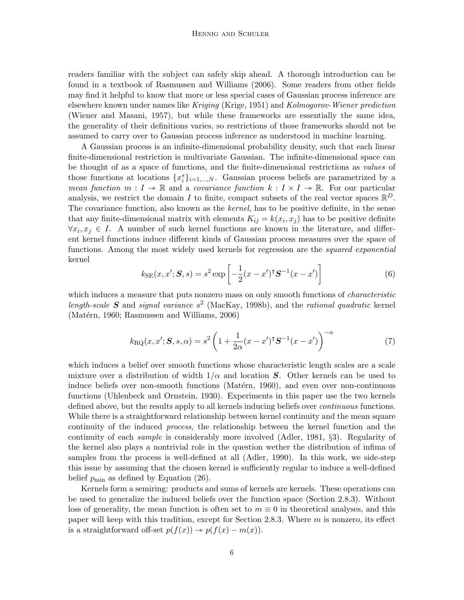readers familiar with the subject can safely skip ahead. A thorough introduction can be found in a textbook of Rasmussen and Williams (2006). Some readers from other fields may find it helpful to know that more or less special cases of Gaussian process inference are elsewhere known under names like Kriging (Krige, 1951) and Kolmogorov-Wiener prediction (Wiener and Masani, 1957), but while these frameworks are essentially the same idea, the generality of their definitions varies, so restrictions of those frameworks should not be assumed to carry over to Gaussian process inference as understood in machine learning.

A Gaussian process is an infinite-dimensional probability density, such that each linear finite-dimensional restriction is multivariate Gaussian. The infinite-dimensional space can be thought of as a space of functions, and the finite-dimensional restrictions as values of those functions at locations  $\{x_i^*\}_{i=1,\dots,N}$ . Gaussian process beliefs are parametrized by a mean function  $m: I \to \mathbb{R}$  and a covariance function  $k: I \times I \to \mathbb{R}$ . For our particular analysis, we restrict the domain I to finite, compact subsets of the real vector spaces  $\mathbb{R}^D$ . The covariance function, also known as the kernel, has to be positive definite, in the sense that any finite-dimensional matrix with elements  $K_{ij} = k(x_i, x_j)$  has to be positive definite  $\forall x_i, x_j \in I$ . A number of such kernel functions are known in the literature, and different kernel functions induce different kinds of Gaussian process measures over the space of functions. Among the most widely used kernels for regression are the *squared exponential* kernel

$$
k_{\text{SE}}(x, x'; \mathbf{S}, s) = s^2 \exp\left[-\frac{1}{2}(x - x')^\intercal \mathbf{S}^{-1}(x - x')\right] \tag{6}
$$

which induces a measure that puts nonzero mass on only smooth functions of *characteristic* length-scale S and signal variance  $s^2$  (MacKay, 1998b), and the rational quadratic kernel  $(Matérn, 1960; Rasmussen and Williams, 2006)$ 

$$
k_{\mathcal{R}\mathcal{Q}}(x, x'; \mathbf{S}, s, \alpha) = s^2 \left( 1 + \frac{1}{2\alpha} (x - x')^\mathsf{T} \mathbf{S}^{-1} (x - x') \right)^{-\alpha} \tag{7}
$$

which induces a belief over smooth functions whose characteristic length scales are a scale mixture over a distribution of width  $1/\alpha$  and location S. Other kernels can be used to induce beliefs over non-smooth functions (Matérn, 1960), and even over non-continuous functions (Uhlenbeck and Ornstein, 1930). Experiments in this paper use the two kernels defined above, but the results apply to all kernels inducing beliefs over *continuous* functions. While there is a straightforward relationship between kernel continuity and the mean square continuity of the induced process, the relationship between the kernel function and the continuity of each sample is considerably more involved (Adler, 1981, §3). Regularity of the kernel also plays a nontrivial role in the question wether the distribution of infima of samples from the process is well-defined at all (Adler, 1990). In this work, we side-step this issue by assuming that the chosen kernel is sufficiently regular to induce a well-defined belief  $p_{\text{min}}$  as defined by Equation (26).

Kernels form a semiring: products and sums of kernels are kernels. These operations can be used to generalize the induced beliefs over the function space (Section 2.8.3). Without loss of generality, the mean function is often set to  $m \equiv 0$  in theoretical analyses, and this paper will keep with this tradition, except for Section 2.8.3. Where  $m$  is nonzero, its effect is a straightforward off-set  $p(f(x)) \rightarrow p(f(x) - m(x)).$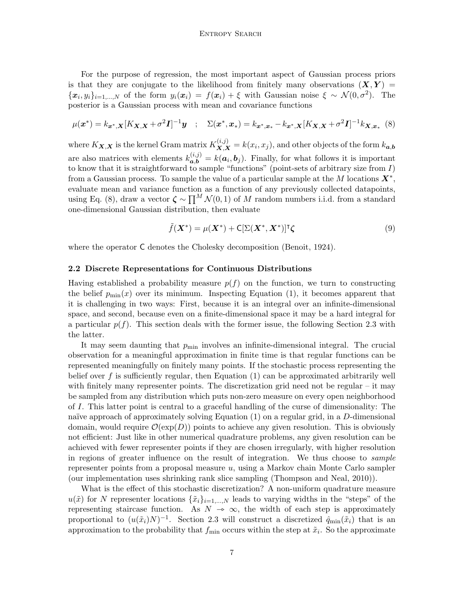For the purpose of regression, the most important aspect of Gaussian process priors is that they are conjugate to the likelihood from finitely many observations  $(X, Y) =$  ${x_i, y_i}_{i=1,\dots,N}$  of the form  $y_i(x_i) = f(x_i) + \xi$  with Gaussian noise  $\xi \sim \mathcal{N}(0, \sigma^2)$ . The posterior is a Gaussian process with mean and covariance functions

$$
\mu(\boldsymbol{x}^*) = k_{\boldsymbol{x}^*,\boldsymbol{X}} [K_{\boldsymbol{X},\boldsymbol{X}} + \sigma^2 \boldsymbol{I}]^{-1} \boldsymbol{y} \quad ; \quad \Sigma(\boldsymbol{x}^*,\boldsymbol{x}_*) = k_{\boldsymbol{x}^*,\boldsymbol{x}_*} - k_{\boldsymbol{x}^*,\boldsymbol{X}} [K_{\boldsymbol{X},\boldsymbol{X}} + \sigma^2 \boldsymbol{I}]^{-1} k_{\boldsymbol{X},\boldsymbol{x}_*} \tag{8}
$$

where  $K_{\mathbf{X},\mathbf{X}}$  is the kernel Gram matrix  $K_{\mathbf{X},\mathbf{X}}^{(i,j)} = k(x_i,x_j)$ , and other objects of the form  $k_{a,b}$ are also matrices with elements  $k_{a,b}^{(i,j)} = k(a_i, b_j)$ . Finally, for what follows it is important to know that it is straightforward to sample "functions" (point-sets of arbitrary size from  $I$ ) from a Gaussian process. To sample the value of a particular sample at the M locations  $X^*$ , evaluate mean and variance function as a function of any previously collected datapoints, using Eq. (8), draw a vector  $\zeta \sim \prod^M \mathcal{N}(0, 1)$  of M random numbers i.i.d. from a standard one-dimensional Gaussian distribution, then evaluate

$$
\tilde{f}(\mathbf{X}^*) = \mu(\mathbf{X}^*) + \mathsf{C}[\Sigma(\mathbf{X}^*, \mathbf{X}^*)]^\mathsf{T} \zeta \tag{9}
$$

where the operator C denotes the Cholesky decomposition (Benoit, 1924).

#### 2.2 Discrete Representations for Continuous Distributions

Having established a probability measure  $p(f)$  on the function, we turn to constructing the belief  $p_{\min}(x)$  over its minimum. Inspecting Equation (1), it becomes apparent that it is challenging in two ways: First, because it is an integral over an infinite-dimensional space, and second, because even on a finite-dimensional space it may be a hard integral for a particular  $p(f)$ . This section deals with the former issue, the following Section 2.3 with the latter.

It may seem daunting that  $p_{\min}$  involves an infinite-dimensional integral. The crucial observation for a meaningful approximation in finite time is that regular functions can be represented meaningfully on finitely many points. If the stochastic process representing the belief over f is sufficiently regular, then Equation  $(1)$  can be approximated arbitrarily well with finitely many representer points. The discretization grid need not be regular – it may be sampled from any distribution which puts non-zero measure on every open neighborhood of I. This latter point is central to a graceful handling of the curse of dimensionality: The naïve approach of approximately solving Equation  $(1)$  on a regular grid, in a D-dimensional domain, would require  $\mathcal{O}(\exp(D))$  points to achieve any given resolution. This is obviously not efficient: Just like in other numerical quadrature problems, any given resolution can be achieved with fewer representer points if they are chosen irregularly, with higher resolution in regions of greater influence on the result of integration. We thus choose to sample representer points from a proposal measure  $u$ , using a Markov chain Monte Carlo sampler (our implementation uses shrinking rank slice sampling (Thompson and Neal, 2010)).

What is the effect of this stochastic discretization? A non-uniform quadrature measure  $u(\tilde{x})$  for N representer locations  $\{\tilde{x}_i\}_{i=1,\dots,N}$  leads to varying widths in the "steps" of the representing staircase function. As  $N \to \infty$ , the width of each step is approximately proportional to  $(u(\tilde{x}_i)N)^{-1}$ . Section 2.3 will construct a discretized  $\hat{q}_{min}(\tilde{x}_i)$  that is an approximation to the probability that  $f_{\min}$  occurs within the step at  $\tilde{x}_i$ . So the approximate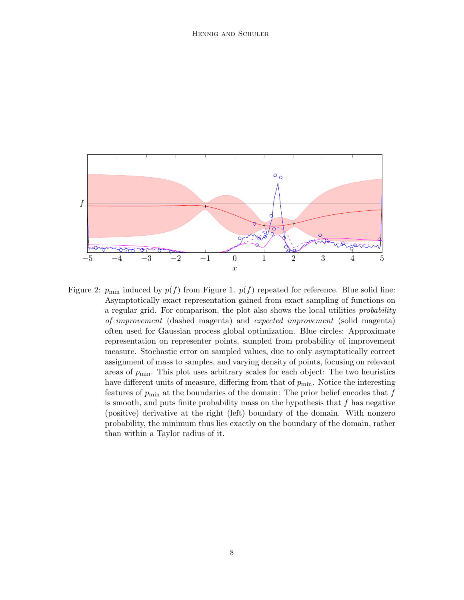

Figure 2:  $p_{\text{min}}$  induced by  $p(f)$  from Figure 1.  $p(f)$  repeated for reference. Blue solid line: Asymptotically exact representation gained from exact sampling of functions on a regular grid. For comparison, the plot also shows the local utilities probability of improvement (dashed magenta) and expected improvement (solid magenta) often used for Gaussian process global optimization. Blue circles: Approximate representation on representer points, sampled from probability of improvement measure. Stochastic error on sampled values, due to only asymptotically correct assignment of mass to samples, and varying density of points, focusing on relevant areas of  $p_{\min}$ . This plot uses arbitrary scales for each object: The two heuristics have different units of measure, differing from that of  $p_{\min}$ . Notice the interesting features of  $p_{\text{min}}$  at the boundaries of the domain: The prior belief encodes that f is smooth, and puts finite probability mass on the hypothesis that  $f$  has negative (positive) derivative at the right (left) boundary of the domain. With nonzero probability, the minimum thus lies exactly on the boundary of the domain, rather than within a Taylor radius of it.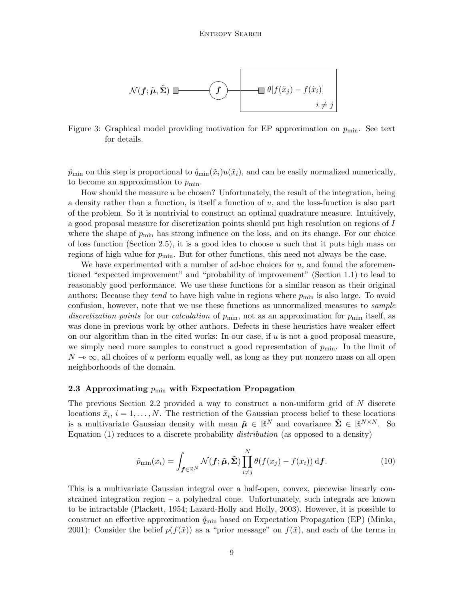

Figure 3: Graphical model providing motivation for EP approximation on  $p_{\text{min}}$ . See text for details.

 $\hat{p}_{\min}$  on this step is proportional to  $\hat{q}_{\min}(\tilde{x}_i)u(\tilde{x}_i)$ , and can be easily normalized numerically, to become an approximation to  $p_{\min}$ .

How should the measure  $u$  be chosen? Unfortunately, the result of the integration, being a density rather than a function, is itself a function of u, and the loss-function is also part of the problem. So it is nontrivial to construct an optimal quadrature measure. Intuitively, a good proposal measure for discretization points should put high resolution on regions of I where the shape of  $p_{\min}$  has strong influence on the loss, and on its change. For our choice of loss function (Section 2.5), it is a good idea to choose u such that it puts high mass on regions of high value for  $p_{\min}$ . But for other functions, this need not always be the case.

We have experimented with a number of ad-hoc choices for  $u$ , and found the aforementioned "expected improvement" and "probability of improvement" (Section 1.1) to lead to reasonably good performance. We use these functions for a similar reason as their original authors: Because they *tend* to have high value in regions where  $p_{\min}$  is also large. To avoid confusion, however, note that we use these functions as unnormalized measures to *sample* discretization points for our calculation of  $p_{\min}$ , not as an approximation for  $p_{\min}$  itself, as was done in previous work by other authors. Defects in these heuristics have weaker effect on our algorithm than in the cited works: In our case, if  $u$  is not a good proposal measure, we simply need more samples to construct a good representation of  $p_{\text{min}}$ . In the limit of  $N \rightarrow \infty$ , all choices of u perform equally well, as long as they put nonzero mass on all open neighborhoods of the domain.

#### 2.3 Approximating  $p_{\min}$  with Expectation Propagation

The previous Section 2.2 provided a way to construct a non-uniform grid of N discrete locations  $\tilde{x}_i$ ,  $i = 1, \ldots, N$ . The restriction of the Gaussian process belief to these locations is a multivariate Gaussian density with mean  $\tilde{\mu} \in \mathbb{R}^N$  and covariance  $\tilde{\Sigma} \in \mathbb{R}^{N \times N}$ . So Equation  $(1)$  reduces to a discrete probability *distribution* (as opposed to a density)

$$
\hat{p}_{\min}(x_i) = \int_{\mathbf{f} \in \mathbb{R}^N} \mathcal{N}(\mathbf{f}; \tilde{\boldsymbol{\mu}}, \tilde{\boldsymbol{\Sigma}}) \prod_{i \neq j}^N \theta(f(x_j) - f(x_i)) \, \mathrm{d}\mathbf{f}.
$$
 (10)

This is a multivariate Gaussian integral over a half-open, convex, piecewise linearly constrained integration region – a polyhedral cone. Unfortunately, such integrals are known to be intractable (Plackett, 1954; Lazard-Holly and Holly, 2003). However, it is possible to construct an effective approximation  $\hat{q}_{\min}$  based on Expectation Propagation (EP) (Minka, 2001): Consider the belief  $p(f(\tilde{x}))$  as a "prior message" on  $f(\tilde{x})$ , and each of the terms in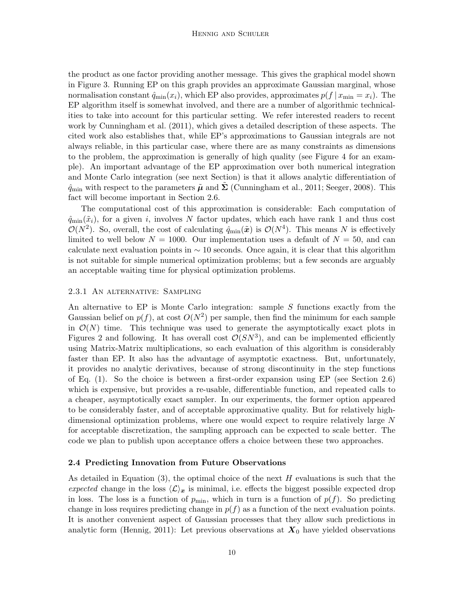the product as one factor providing another message. This gives the graphical model shown in Figure 3. Running EP on this graph provides an approximate Gaussian marginal, whose normalisation constant  $\hat{q}_{\min}(x_i)$ , which EP also provides, approximates  $p(f | x_{\min} = x_i)$ . The EP algorithm itself is somewhat involved, and there are a number of algorithmic technicalities to take into account for this particular setting. We refer interested readers to recent work by Cunningham et al. (2011), which gives a detailed description of these aspects. The cited work also establishes that, while EP's approximations to Gaussian integrals are not always reliable, in this particular case, where there are as many constraints as dimensions to the problem, the approximation is generally of high quality (see Figure 4 for an example). An important advantage of the EP approximation over both numerical integration and Monte Carlo integration (see next Section) is that it allows analytic differentiation of  $\hat{q}_{\min}$  with respect to the parameters  $\tilde{\mu}$  and  $\Sigma$  (Cunningham et al., 2011; Seeger, 2008). This fact will become important in Section 2.6.

The computational cost of this approximation is considerable: Each computation of  $\hat{q}_{\min}(\tilde{x}_i)$ , for a given i, involves N factor updates, which each have rank 1 and thus cost  $\mathcal{O}(N^2)$ . So, overall, the cost of calculating  $\hat{q}_{min}(\tilde{x})$  is  $\mathcal{O}(N^4)$ . This means N is effectively limited to well below  $N = 1000$ . Our implementation uses a default of  $N = 50$ , and can calculate next evaluation points in  $\sim$  10 seconds. Once again, it is clear that this algorithm is not suitable for simple numerical optimization problems; but a few seconds are arguably an acceptable waiting time for physical optimization problems.

#### 2.3.1 An alternative: Sampling

An alternative to EP is Monte Carlo integration: sample S functions exactly from the Gaussian belief on  $p(f)$ , at cost  $O(N^2)$  per sample, then find the minimum for each sample in  $\mathcal{O}(N)$  time. This technique was used to generate the asymptotically exact plots in Figures 2 and following. It has overall cost  $\mathcal{O}(SN^3)$ , and can be implemented efficiently using Matrix-Matrix multiplications, so each evaluation of this algorithm is considerably faster than EP. It also has the advantage of asymptotic exactness. But, unfortunately, it provides no analytic derivatives, because of strong discontinuity in the step functions of Eq. (1). So the choice is between a first-order expansion using EP (see Section 2.6) which is expensive, but provides a re-usable, differentiable function, and repeated calls to a cheaper, asymptotically exact sampler. In our experiments, the former option appeared to be considerably faster, and of acceptable approximative quality. But for relatively highdimensional optimization problems, where one would expect to require relatively large N for acceptable discretization, the sampling approach can be expected to scale better. The code we plan to publish upon acceptance offers a choice between these two approaches.

#### 2.4 Predicting Innovation from Future Observations

As detailed in Equation  $(3)$ , the optimal choice of the next H evaluations is such that the expected change in the loss  $\langle \mathcal{L} \rangle_{\mathbf{x}}$  is minimal, i.e. effects the biggest possible expected drop in loss. The loss is a function of  $p_{\text{min}}$ , which in turn is a function of  $p(f)$ . So predicting change in loss requires predicting change in  $p(f)$  as a function of the next evaluation points. It is another convenient aspect of Gaussian processes that they allow such predictions in analytic form (Hennig, 2011): Let previous observations at  $X_0$  have yielded observations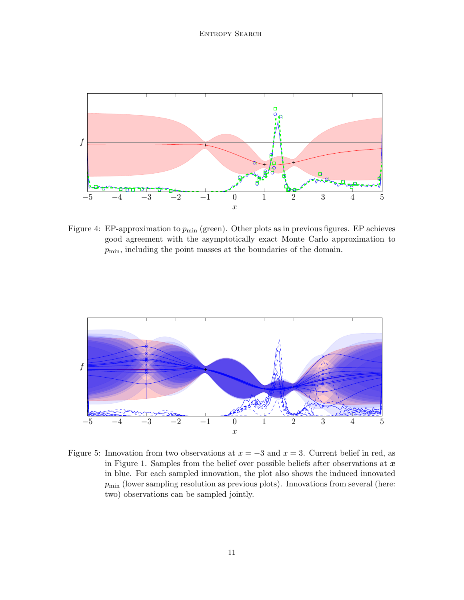

Figure 4: EP-approximation to  $p_{\text{min}}$  (green). Other plots as in previous figures. EP achieves good agreement with the asymptotically exact Monte Carlo approximation to  $p_{\min}$ , including the point masses at the boundaries of the domain.



Figure 5: Innovation from two observations at  $x = -3$  and  $x = 3$ . Current belief in red, as in Figure 1. Samples from the belief over possible beliefs after observations at  $x$ in blue. For each sampled innovation, the plot also shows the induced innovated  $p_{\min}$  (lower sampling resolution as previous plots). Innovations from several (here: two) observations can be sampled jointly.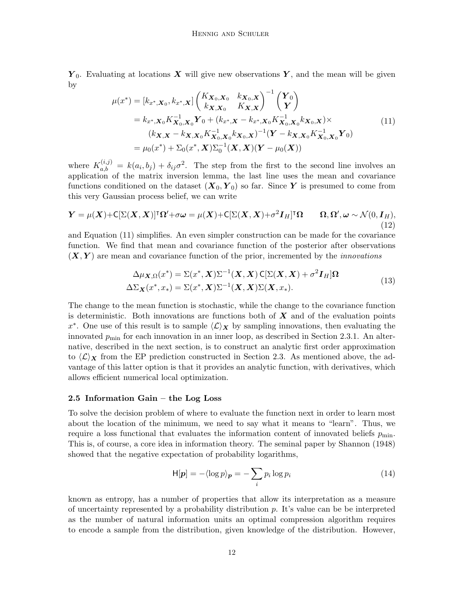$Y_0$ . Evaluating at locations X will give new observations Y, and the mean will be given by

$$
\mu(x^*) = [k_{x^*, X_0}, k_{x^*, X}] \begin{pmatrix} K_{X_0, X_0} & k_{X_0, X} \\ k_{X, X_0} & K_{X, X} \end{pmatrix}^{-1} \begin{pmatrix} Y_0 \\ Y \end{pmatrix}
$$
  
\n
$$
= k_{x^*, X_0} K_{X_0, X_0}^{-1} Y_0 + (k_{x^*, X} - k_{x^*, X_0} K_{X_0, X_0}^{-1} k_{X_0, X}) \times
$$
  
\n
$$
(k_{X, X} - k_{X, X_0} K_{X_0, X_0}^{-1} k_{X_0, X_0})^{-1} (Y - k_{X, X_0} K_{X_0, X_0}^{-1} Y_0)
$$
  
\n
$$
= \mu_0(x^*) + \Sigma_0(x^*, X) \Sigma_0^{-1} (X, X) (Y - \mu_0(X))
$$
\n(11)

where  $K_{a,b}^{(i,j)} = k(a_i, b_j) + \delta_{ij} \sigma^2$ . The step from the first to the second line involves an application of the matrix inversion lemma, the last line uses the mean and covariance functions conditioned on the dataset  $(X_0, Y_0)$  so far. Since Y is presumed to come from this very Gaussian process belief, we can write

$$
\mathbf{Y} = \mu(\mathbf{X}) + \mathsf{C}[\Sigma(\mathbf{X}, \mathbf{X})]^\mathsf{T} \Omega' + \sigma \omega = \mu(\mathbf{X}) + \mathsf{C}[\Sigma(\mathbf{X}, \mathbf{X}) + \sigma^2 \mathbf{I}_H]^\mathsf{T} \Omega \qquad \Omega, \Omega', \omega \sim \mathcal{N}(0, \mathbf{I}_H),
$$
\n(12)

and Equation (11) simplifies. An even simpler construction can be made for the covariance function. We find that mean and covariance function of the posterior after observations  $(X, Y)$  are mean and covariance function of the prior, incremented by the *innovations* 

$$
\Delta\mu_{\mathbf{X},\Omega}(x^*) = \Sigma(x^*, \mathbf{X})\Sigma^{-1}(\mathbf{X}, \mathbf{X})\mathsf{C}[\Sigma(\mathbf{X}, \mathbf{X}) + \sigma^2 \mathbf{I}_H]\Omega
$$
\n
$$
\Delta\Sigma_{\mathbf{X}}(x^*, x_*) = \Sigma(x^*, \mathbf{X})\Sigma^{-1}(\mathbf{X}, \mathbf{X})\Sigma(\mathbf{X}, x_*). \tag{13}
$$

The change to the mean function is stochastic, while the change to the covariance function is deterministic. Both innovations are functions both of  $\boldsymbol{X}$  and of the evaluation points x<sup>\*</sup>. One use of this result is to sample  $\langle \mathcal{L} \rangle_X$  by sampling innovations, then evaluating the innovated  $p_{\min}$  for each innovation in an inner loop, as described in Section 2.3.1. An alternative, described in the next section, is to construct an analytic first order approximation to  $\langle \mathcal{L} \rangle_X$  from the EP prediction constructed in Section 2.3. As mentioned above, the advantage of this latter option is that it provides an analytic function, with derivatives, which allows efficient numerical local optimization.

#### 2.5 Information Gain – the Log Loss

To solve the decision problem of where to evaluate the function next in order to learn most about the location of the minimum, we need to say what it means to "learn". Thus, we require a loss functional that evaluates the information content of innovated beliefs  $p_{\text{min}}$ . This is, of course, a core idea in information theory. The seminal paper by Shannon (1948) showed that the negative expectation of probability logarithms,

$$
H[\boldsymbol{p}] = -\langle \log p \rangle_{\boldsymbol{p}} = -\sum_{i} p_i \log p_i \tag{14}
$$

known as entropy, has a number of properties that allow its interpretation as a measure of uncertainty represented by a probability distribution  $p$ . It's value can be be interpreted as the number of natural information units an optimal compression algorithm requires to encode a sample from the distribution, given knowledge of the distribution. However,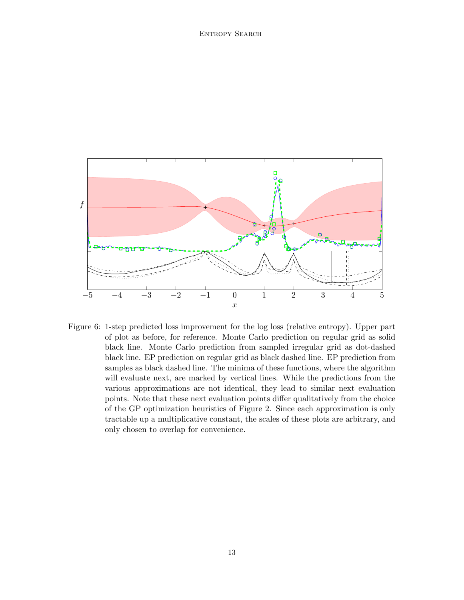

Figure 6: 1-step predicted loss improvement for the log loss (relative entropy). Upper part of plot as before, for reference. Monte Carlo prediction on regular grid as solid black line. Monte Carlo prediction from sampled irregular grid as dot-dashed black line. EP prediction on regular grid as black dashed line. EP prediction from samples as black dashed line. The minima of these functions, where the algorithm will evaluate next, are marked by vertical lines. While the predictions from the various approximations are not identical, they lead to similar next evaluation points. Note that these next evaluation points differ qualitatively from the choice of the GP optimization heuristics of Figure 2. Since each approximation is only tractable up a multiplicative constant, the scales of these plots are arbitrary, and only chosen to overlap for convenience.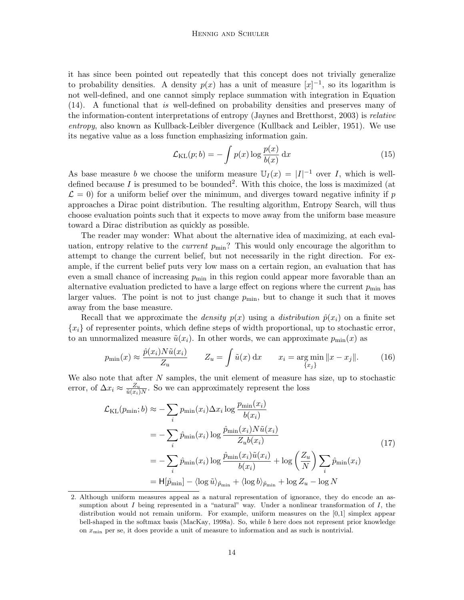it has since been pointed out repeatedly that this concept does not trivially generalize to probability densities. A density  $p(x)$  has a unit of measure  $[x]^{-1}$ , so its logarithm is not well-defined, and one cannot simply replace summation with integration in Equation (14). A functional that is well-defined on probability densities and preserves many of the information-content interpretations of entropy (Jaynes and Bretthorst, 2003) is relative entropy, also known as Kullback-Leibler divergence (Kullback and Leibler, 1951). We use its negative value as a loss function emphasizing information gain.

$$
\mathcal{L}_{\text{KL}}(p;b) = -\int p(x)\log\frac{p(x)}{b(x)} dx
$$
\n(15)

As base measure b we choose the uniform measure  $\mathbb{U}_I(x) = |I|^{-1}$  over I, which is welldefined because I is presumed to be bounded<sup>2</sup>. With this choice, the loss is maximized (at  $\mathcal{L} = 0$ ) for a uniform belief over the minimum, and diverges toward negative infinity if p approaches a Dirac point distribution. The resulting algorithm, Entropy Search, will thus choose evaluation points such that it expects to move away from the uniform base measure toward a Dirac distribution as quickly as possible.

The reader may wonder: What about the alternative idea of maximizing, at each evaluation, entropy relative to the *current*  $p_{\text{min}}$ ? This would only encourage the algorithm to attempt to change the current belief, but not necessarily in the right direction. For example, if the current belief puts very low mass on a certain region, an evaluation that has even a small chance of increasing  $p_{\min}$  in this region could appear more favorable than an alternative evaluation predicted to have a large effect on regions where the current  $p_{\min}$  has larger values. The point is not to just change  $p_{\min}$ , but to change it such that it moves away from the base measure.

Recall that we approximate the *density*  $p(x)$  using a *distribution*  $\hat{p}(x_i)$  on a finite set  ${x_i}$  of representer points, which define steps of width proportional, up to stochastic error, to an unnormalized measure  $\tilde{u}(x_i)$ . In other words, we can approximate  $p_{\min}(x)$  as

$$
p_{\min}(x) \approx \frac{\hat{p}(x_i) N \tilde{u}(x_i)}{Z_u} \qquad Z_u = \int \tilde{u}(x) dx \qquad x_i = \underset{\{x_j\}}{\arg \min} \|x - x_j\|. \tag{16}
$$

We also note that after  $N$  samples, the unit element of measure has size, up to stochastic error, of  $\Delta x_i \approx \frac{Z_u}{\tilde{u}(x_i)}$  $\frac{Z_u}{\tilde{u}(x_i)N}$ . So we can approximately represent the loss

$$
\mathcal{L}_{\text{KL}}(p_{\min};b) \approx -\sum_{i} p_{\min}(x_i) \Delta x_i \log \frac{p_{\min}(x_i)}{b(x_i)}
$$
  
= 
$$
-\sum_{i} \hat{p}_{\min}(x_i) \log \frac{\hat{p}_{\min}(x_i) N \tilde{u}(x_i)}{Z_u b(x_i)}
$$
  
= 
$$
-\sum_{i} \hat{p}_{\min}(x_i) \log \frac{\hat{p}_{\min}(x_i) \tilde{u}(x_i)}{b(x_i)} + \log \left(\frac{Z_u}{N}\right) \sum_{i} \hat{p}_{\min}(x_i)
$$
  
= 
$$
H[\hat{p}_{\min}] - \langle \log \tilde{u} \rangle_{\hat{p}_{\min}} + \langle \log b \rangle_{\hat{p}_{\min}} + \log Z_u - \log N
$$
 (17)

<sup>2.</sup> Although uniform measures appeal as a natural representation of ignorance, they do encode an assumption about I being represented in a "natural" way. Under a nonlinear transformation of I, the distribution would not remain uniform. For example, uniform measures on the [0,1] simplex appear bell-shaped in the softmax basis (MacKay, 1998a). So, while b here does not represent prior knowledge on  $x_{\min}$  per se, it does provide a unit of measure to information and as such is nontrivial.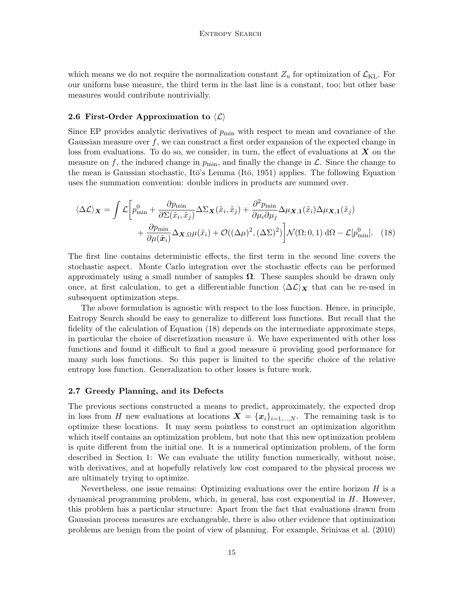which means we do not require the normalization constant  $Z_u$  for optimization of  $\mathcal{L}_{KL}$ . For our uniform base measure, the third term in the last line is a constant, too; but other base measures would contribute nontrivially.

## 2.6 First-Order Approximation to  $\langle \mathcal{L} \rangle$

Since EP provides analytic derivatives of  $p_{\text{min}}$  with respect to mean and covariance of the Gaussian measure over  $f$ , we can construct a first order expansion of the expected change in loss from evaluations. To do so, we consider, in turn, the effect of evaluations at  $X$  on the measure on f, the induced change in  $p_{\min}$ , and finally the change in  $\mathcal{L}$ . Since the change to the mean is Gaussian stochastic, Itō's Lemma (Itō, 1951) applies. The following Equation uses the summation convention: double indices in products are summed over.

$$
\langle \Delta \mathcal{L} \rangle_{\mathbf{X}} = \int \mathcal{L} \left[ p_{\min}^0 + \frac{\partial p_{\min}}{\partial \Sigma(\tilde{x}_i, \tilde{x}_j)} \Delta \Sigma_{\mathbf{X}}(\tilde{x}_i, \tilde{x}_j) + \frac{\partial^2 p_{\min}}{\partial \mu_i \partial \mu_j} \Delta \mu_{\mathbf{X},1}(\tilde{x}_i) \Delta \mu_{\mathbf{X},1}(\tilde{x}_j) + \frac{\partial p_{\min}}{\partial \mu(\tilde{x}_i)} \Delta_{\mathbf{X},\Omega} \mu(\tilde{x}_i) + \mathcal{O}((\Delta \mu)^2, (\Delta \Sigma)^2) \right] \mathcal{N}(\Omega; 0, 1) \, d\Omega - \mathcal{L}[p_{\min}^0]. \tag{18}
$$

The first line contains deterministic effects, the first term in the second line covers the stochastic aspect. Monte Carlo integration over the stochastic effects can be performed approximately using a small number of samples  $\Omega$ . These samples should be drawn only once, at first calculation, to get a differentiable function  $\langle \Delta \mathcal{L} \rangle$  that can be re-used in subsequent optimization steps.

The above formulation is agnostic with respect to the loss function. Hence, in principle, Entropy Search should be easy to generalize to different loss functions. But recall that the fidelity of the calculation of Equation (18) depends on the intermediate approximate steps, in particular the choice of discretization measure  $\tilde{u}$ . We have experimented with other loss functions and found it difficult to find a good measure  $\tilde{u}$  providing good performance for many such loss functions. So this paper is limited to the specific choice of the relative entropy loss function. Generalization to other losses is future work.

#### 2.7 Greedy Planning, and its Defects

The previous sections constructed a means to predict, approximately, the expected drop in loss from H new evaluations at locations  $\mathbf{X} = {\mathbf{x}_i}_{i=1,\dots,N}$ . The remaining task is to optimize these locations. It may seem pointless to construct an optimization algorithm which itself contains an optimization problem, but note that this new optimization problem is quite different from the initial one. It is a numerical optimization problem, of the form described in Section 1: We can evaluate the utility function numerically, without noise, with derivatives, and at hopefully relatively low cost compared to the physical process we are ultimately trying to optimize.

Nevertheless, one issue remains: Optimizing evaluations over the entire horizon  $H$  is a dynamical programming problem, which, in general, has cost exponential in  $H$ . However, this problem has a particular structure: Apart from the fact that evaluations drawn from Gaussian process measures are exchangeable, there is also other evidence that optimization problems are benign from the point of view of planning. For example, Srinivas et al. (2010)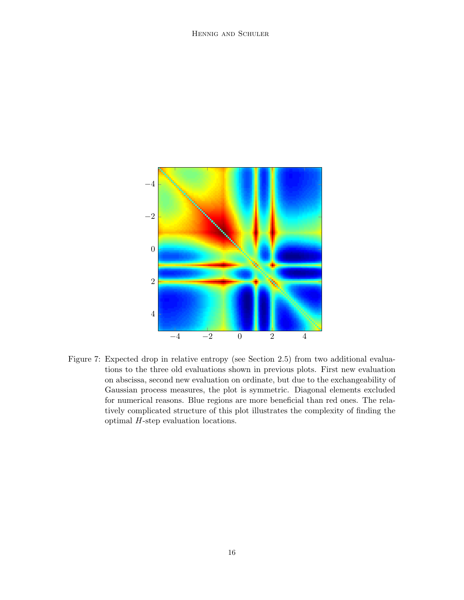

Figure 7: Expected drop in relative entropy (see Section 2.5) from two additional evaluations to the three old evaluations shown in previous plots. First new evaluation on abscissa, second new evaluation on ordinate, but due to the exchangeability of Gaussian process measures, the plot is symmetric. Diagonal elements excluded for numerical reasons. Blue regions are more beneficial than red ones. The relatively complicated structure of this plot illustrates the complexity of finding the optimal H-step evaluation locations.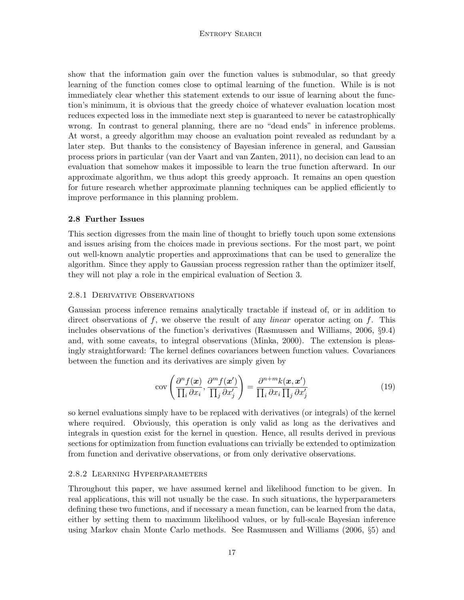## Entropy Search

show that the information gain over the function values is submodular, so that greedy learning of the function comes close to optimal learning of the function. While is is not immediately clear whether this statement extends to our issue of learning about the function's minimum, it is obvious that the greedy choice of whatever evaluation location most reduces expected loss in the immediate next step is guaranteed to never be catastrophically wrong. In contrast to general planning, there are no "dead ends" in inference problems. At worst, a greedy algorithm may choose an evaluation point revealed as redundant by a later step. But thanks to the consistency of Bayesian inference in general, and Gaussian process priors in particular (van der Vaart and van Zanten, 2011), no decision can lead to an evaluation that somehow makes it impossible to learn the true function afterward. In our approximate algorithm, we thus adopt this greedy approach. It remains an open question for future research whether approximate planning techniques can be applied efficiently to improve performance in this planning problem.

#### 2.8 Further Issues

This section digresses from the main line of thought to briefly touch upon some extensions and issues arising from the choices made in previous sections. For the most part, we point out well-known analytic properties and approximations that can be used to generalize the algorithm. Since they apply to Gaussian process regression rather than the optimizer itself, they will not play a role in the empirical evaluation of Section 3.

#### 2.8.1 Derivative Observations

Gaussian process inference remains analytically tractable if instead of, or in addition to direct observations of  $f$ , we observe the result of any *linear* operator acting on  $f$ . This includes observations of the function's derivatives (Rasmussen and Williams, 2006, §9.4) and, with some caveats, to integral observations (Minka, 2000). The extension is pleasingly straightforward: The kernel defines covariances between function values. Covariances between the function and its derivatives are simply given by

$$
cov\left(\frac{\partial^n f(\boldsymbol{x})}{\prod_i \partial x_i}, \frac{\partial^m f(\boldsymbol{x}')}{\prod_j \partial x'_j}\right) = \frac{\partial^{n+m} k(\boldsymbol{x}, \boldsymbol{x}')}{\prod_i \partial x_i \prod_j \partial x'_j}
$$
(19)

so kernel evaluations simply have to be replaced with derivatives (or integrals) of the kernel where required. Obviously, this operation is only valid as long as the derivatives and integrals in question exist for the kernel in question. Hence, all results derived in previous sections for optimization from function evaluations can trivially be extended to optimization from function and derivative observations, or from only derivative observations.

#### 2.8.2 Learning Hyperparameters

Throughout this paper, we have assumed kernel and likelihood function to be given. In real applications, this will not usually be the case. In such situations, the hyperparameters defining these two functions, and if necessary a mean function, can be learned from the data, either by setting them to maximum likelihood values, or by full-scale Bayesian inference using Markov chain Monte Carlo methods. See Rasmussen and Williams (2006, §5) and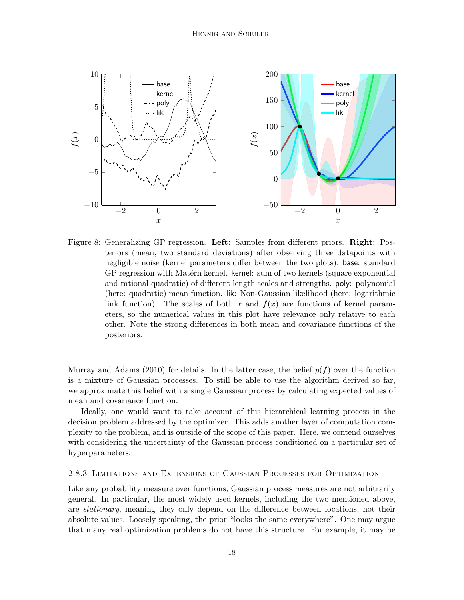

Figure 8: Generalizing GP regression. Left: Samples from different priors. Right: Posteriors (mean, two standard deviations) after observing three datapoints with negligible noise (kernel parameters differ between the two plots). base: standard GP regression with Matérn kernel. kernel: sum of two kernels (square exponential and rational quadratic) of different length scales and strengths. poly: polynomial (here: quadratic) mean function. lik: Non-Gaussian likelihood (here: logarithmic link function). The scales of both x and  $f(x)$  are functions of kernel parameters, so the numerical values in this plot have relevance only relative to each other. Note the strong differences in both mean and covariance functions of the posteriors.

Murray and Adams (2010) for details. In the latter case, the belief  $p(f)$  over the function is a mixture of Gaussian processes. To still be able to use the algorithm derived so far, we approximate this belief with a single Gaussian process by calculating expected values of mean and covariance function.

Ideally, one would want to take account of this hierarchical learning process in the decision problem addressed by the optimizer. This adds another layer of computation complexity to the problem, and is outside of the scope of this paper. Here, we contend ourselves with considering the uncertainty of the Gaussian process conditioned on a particular set of hyperparameters.

#### 2.8.3 Limitations and Extensions of Gaussian Processes for Optimization

Like any probability measure over functions, Gaussian process measures are not arbitrarily general. In particular, the most widely used kernels, including the two mentioned above, are *stationary*, meaning they only depend on the difference between locations, not their absolute values. Loosely speaking, the prior "looks the same everywhere". One may argue that many real optimization problems do not have this structure. For example, it may be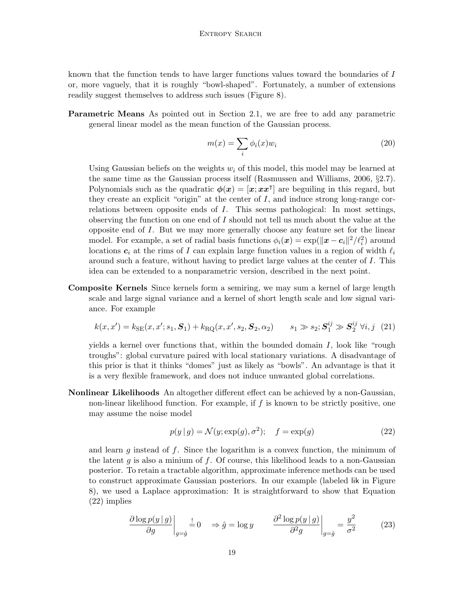known that the function tends to have larger functions values toward the boundaries of I or, more vaguely, that it is roughly "bowl-shaped". Fortunately, a number of extensions readily suggest themselves to address such issues (Figure 8).

Parametric Means As pointed out in Section 2.1, we are free to add any parametric general linear model as the mean function of the Gaussian process.

$$
m(x) = \sum_{i} \phi_i(x) w_i \tag{20}
$$

Using Gaussian beliefs on the weights  $w_i$  of this model, this model may be learned at the same time as the Gaussian process itself (Rasmussen and Williams, 2006,  $\S 2.7$ ). Polynomials such as the quadratic  $\phi(x) = [x, x^{\dagger}]$  are beguiling in this regard, but they create an explicit "origin" at the center of  $I$ , and induce strong long-range correlations between opposite ends of I. This seems pathological: In most settings, observing the function on one end of  $I$  should not tell us much about the value at the opposite end of I. But we may more generally choose any feature set for the linear model. For example, a set of radial basis functions  $\phi_i(\bm{x}) = \exp(||\bm{x} - \bm{c}_i||^2 / \ell_i^2)$  around locations  $c_i$  at the rims of I can explain large function values in a region of width  $\ell_i$ around such a feature, without having to predict large values at the center of I. This idea can be extended to a nonparametric version, described in the next point.

Composite Kernels Since kernels form a semiring, we may sum a kernel of large length scale and large signal variance and a kernel of short length scale and low signal variance. For example

$$
k(x, x') = k_{\text{SE}}(x, x'; s_1, S_1) + k_{\text{RQ}}(x, x', s_2, S_2, \alpha_2) \qquad s_1 \gg s_2; S_1^{ij} \gg S_2^{ij} \ \forall i, j \ (21)
$$

yields a kernel over functions that, within the bounded domain  $I$ , look like "rough troughs": global curvature paired with local stationary variations. A disadvantage of this prior is that it thinks "domes" just as likely as "bowls". An advantage is that it is a very flexible framework, and does not induce unwanted global correlations.

Nonlinear Likelihoods An altogether different effect can be achieved by a non-Gaussian, non-linear likelihood function. For example, if f is known to be strictly positive, one may assume the noise model

$$
p(y | g) = \mathcal{N}(y; \exp(g), \sigma^2); \quad f = \exp(g)
$$
\n(22)

and learn  $g$  instead of  $f$ . Since the logarithm is a convex function, the minimum of the latent g is also a minium of f. Of course, this likelihood leads to a non-Gaussian posterior. To retain a tractable algorithm, approximate inference methods can be used to construct approximate Gaussian posteriors. In our example (labeled lik in Figure 8), we used a Laplace approximation: It is straightforward to show that Equation (22) implies

$$
\frac{\partial \log p(y \mid g)}{\partial g}\bigg|_{g=\hat{g}} = 0 \quad \Rightarrow \hat{g} = \log y \qquad \frac{\partial^2 \log p(y \mid g)}{\partial^2 g}\bigg|_{g=\hat{g}} = \frac{y^2}{\sigma^2} \tag{23}
$$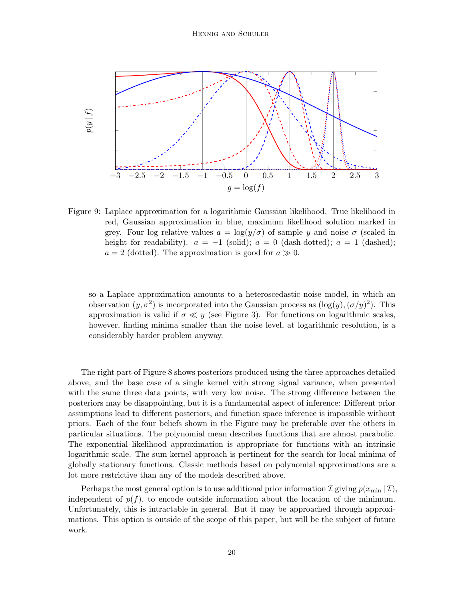

Figure 9: Laplace approximation for a logarithmic Gaussian likelihood. True likelihood in red, Gaussian approximation in blue, maximum likelihood solution marked in grey. Four log relative values  $a = \log(y/\sigma)$  of sample y and noise  $\sigma$  (scaled in height for readability).  $a = -1$  (solid);  $a = 0$  (dash-dotted);  $a = 1$  (dashed);  $a = 2$  (dotted). The approximation is good for  $a \gg 0$ .

so a Laplace approximation amounts to a heteroscedastic noise model, in which an observation  $(y, \sigma^2)$  is incorporated into the Gaussian process as  $(\log(y), (\sigma/y)^2)$ . This approximation is valid if  $\sigma \ll y$  (see Figure 3). For functions on logarithmic scales, however, finding minima smaller than the noise level, at logarithmic resolution, is a considerably harder problem anyway.

The right part of Figure 8 shows posteriors produced using the three approaches detailed above, and the base case of a single kernel with strong signal variance, when presented with the same three data points, with very low noise. The strong difference between the posteriors may be disappointing, but it is a fundamental aspect of inference: Different prior assumptions lead to different posteriors, and function space inference is impossible without priors. Each of the four beliefs shown in the Figure may be preferable over the others in particular situations. The polynomial mean describes functions that are almost parabolic. The exponential likelihood approximation is appropriate for functions with an intrinsic logarithmic scale. The sum kernel approach is pertinent for the search for local minima of globally stationary functions. Classic methods based on polynomial approximations are a lot more restrictive than any of the models described above.

Perhaps the most general option is to use additional prior information I giving  $p(x_{\min} | \mathcal{I})$ , independent of  $p(f)$ , to encode outside information about the location of the minimum. Unfortunately, this is intractable in general. But it may be approached through approximations. This option is outside of the scope of this paper, but will be the subject of future work.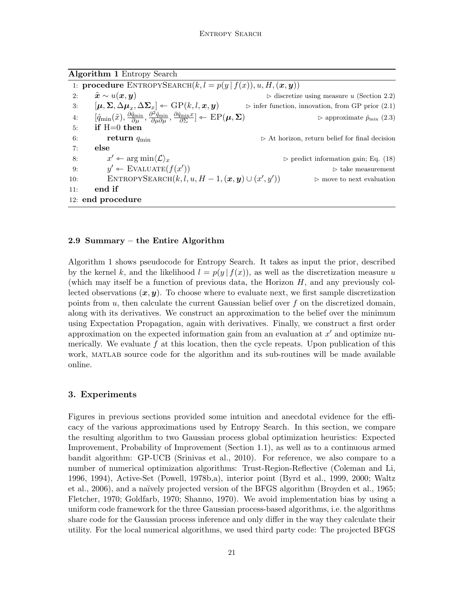Algorithm 1 Entropy Search

| 1: <b>procedure</b> ENTROPYSEARCH $(k, l = p(y   f(x)), u, H, (\boldsymbol{x}, \boldsymbol{y}))$ |                                                                                                                                                                                                                                         |                                                                  |
|--------------------------------------------------------------------------------------------------|-----------------------------------------------------------------------------------------------------------------------------------------------------------------------------------------------------------------------------------------|------------------------------------------------------------------|
| 2:                                                                                               | $\tilde{\bm{x}} \sim u(\bm{x}, \bm{y})$                                                                                                                                                                                                 | $\triangleright$ discretize using measure u (Section 2.2)        |
| 3:                                                                                               | $[\mu, \Sigma, \Delta \mu_x, \Delta \Sigma_x] \leftarrow \text{GP}(k, l, x, y)$                                                                                                                                                         | $\triangleright$ infer function, innovation, from GP prior (2.1) |
| 4:                                                                                               | $[\hat{q}_{\min}(\tilde{x}),\tfrac{\partial \hat{q}_{\min}}{\partial \mu},\tfrac{\partial^2 \hat{q}_{\min}}{\partial \mu \partial \mu},\tfrac{\partial \hat{q}_{\min} x}{\partial \Sigma}]\leftarrow \text{EP}(\pmb{\mu},\pmb{\Sigma})$ | $\triangleright$ approximate $\hat{p}_{\min}$ (2.3)              |
| 5:                                                                                               | if $H=0$ then                                                                                                                                                                                                                           |                                                                  |
| 6:                                                                                               | return $q_{\min}$                                                                                                                                                                                                                       | $\triangleright$ At horizon, return belief for final decision    |
| 7:                                                                                               | else                                                                                                                                                                                                                                    |                                                                  |
| 8:                                                                                               | $x' \leftarrow \arg \min \langle \mathcal{L} \rangle_x$                                                                                                                                                                                 | $\triangleright$ predict information gain; Eq. (18)              |
| 9:                                                                                               | $y' \leftarrow$ EVALUATE $(f(x'))$                                                                                                                                                                                                      | $\triangleright$ take measurement                                |
| 10:                                                                                              | ENTROPYSEARCH $(k, l, u, H-1, (\boldsymbol{x}, \boldsymbol{y}) \cup (\boldsymbol{x}', \boldsymbol{y}'))$                                                                                                                                | $\triangleright$ move to next evaluation                         |
| 11:                                                                                              | end if                                                                                                                                                                                                                                  |                                                                  |
|                                                                                                  | 12: end procedure                                                                                                                                                                                                                       |                                                                  |

## 2.9 Summary – the Entire Algorithm

Algorithm 1 shows pseudocode for Entropy Search. It takes as input the prior, described by the kernel k, and the likelihood  $l = p(y | f(x))$ , as well as the discretization measure u (which may itself be a function of previous data, the Horizon  $H$ , and any previously collected observations  $(x, y)$ . To choose where to evaluate next, we first sample discretization points from  $u$ , then calculate the current Gaussian belief over  $f$  on the discretized domain, along with its derivatives. We construct an approximation to the belief over the minimum using Expectation Propagation, again with derivatives. Finally, we construct a first order approximation on the expected information gain from an evaluation at  $x'$  and optimize numerically. We evaluate  $f$  at this location, then the cycle repeats. Upon publication of this work, MATLAB source code for the algorithm and its sub-routines will be made available online.

## 3. Experiments

Figures in previous sections provided some intuition and anecdotal evidence for the efficacy of the various approximations used by Entropy Search. In this section, we compare the resulting algorithm to two Gaussian process global optimization heuristics: Expected Improvement, Probability of Improvement (Section 1.1), as well as to a continuous armed bandit algorithm: GP-UCB (Srinivas et al., 2010). For reference, we also compare to a number of numerical optimization algorithms: Trust-Region-Reflective (Coleman and Li, 1996, 1994), Active-Set (Powell, 1978b,a), interior point (Byrd et al., 1999, 2000; Waltz et al., 2006), and a naïvely projected version of the BFGS algorithm (Broyden et al., 1965; Fletcher, 1970; Goldfarb, 1970; Shanno, 1970). We avoid implementation bias by using a uniform code framework for the three Gaussian process-based algorithms, i.e. the algorithms share code for the Gaussian process inference and only differ in the way they calculate their utility. For the local numerical algorithms, we used third party code: The projected BFGS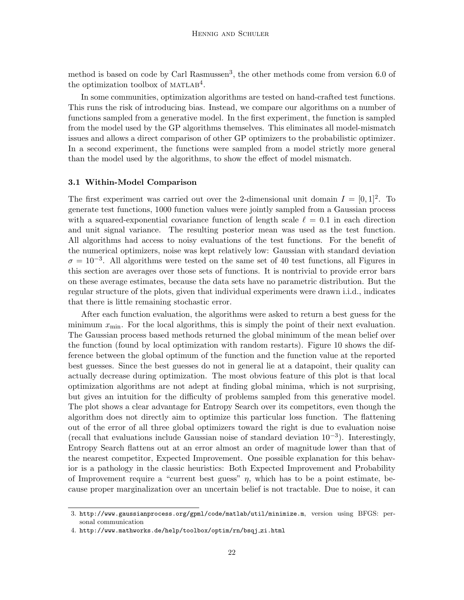method is based on code by Carl Rasmussen<sup>3</sup>, the other methods come from version 6.0 of the optimization toolbox of  $MATLAB<sup>4</sup>$ .

In some communities, optimization algorithms are tested on hand-crafted test functions. This runs the risk of introducing bias. Instead, we compare our algorithms on a number of functions sampled from a generative model. In the first experiment, the function is sampled from the model used by the GP algorithms themselves. This eliminates all model-mismatch issues and allows a direct comparison of other GP optimizers to the probabilistic optimizer. In a second experiment, the functions were sampled from a model strictly more general than the model used by the algorithms, to show the effect of model mismatch.

#### 3.1 Within-Model Comparison

The first experiment was carried out over the 2-dimensional unit domain  $I = [0, 1]^2$ . To generate test functions, 1000 function values were jointly sampled from a Gaussian process with a squared-exponential covariance function of length scale  $\ell = 0.1$  in each direction and unit signal variance. The resulting posterior mean was used as the test function. All algorithms had access to noisy evaluations of the test functions. For the benefit of the numerical optimizers, noise was kept relatively low: Gaussian with standard deviation  $\sigma = 10^{-3}$ . All algorithms were tested on the same set of 40 test functions, all Figures in this section are averages over those sets of functions. It is nontrivial to provide error bars on these average estimates, because the data sets have no parametric distribution. But the regular structure of the plots, given that individual experiments were drawn i.i.d., indicates that there is little remaining stochastic error.

After each function evaluation, the algorithms were asked to return a best guess for the minimum  $x_{\min}$ . For the local algorithms, this is simply the point of their next evaluation. The Gaussian process based methods returned the global minimum of the mean belief over the function (found by local optimization with random restarts). Figure 10 shows the difference between the global optimum of the function and the function value at the reported best guesses. Since the best guesses do not in general lie at a datapoint, their quality can actually decrease during optimization. The most obvious feature of this plot is that local optimization algorithms are not adept at finding global minima, which is not surprising, but gives an intuition for the difficulty of problems sampled from this generative model. The plot shows a clear advantage for Entropy Search over its competitors, even though the algorithm does not directly aim to optimize this particular loss function. The flattening out of the error of all three global optimizers toward the right is due to evaluation noise (recall that evaluations include Gaussian noise of standard deviation 10−<sup>3</sup> ). Interestingly, Entropy Search flattens out at an error almost an order of magnitude lower than that of the nearest competitor, Expected Improvement. One possible explanation for this behavior is a pathology in the classic heuristics: Both Expected Improvement and Probability of Improvement require a "current best guess"  $\eta$ , which has to be a point estimate, because proper marginalization over an uncertain belief is not tractable. Due to noise, it can

<sup>3.</sup> http://www.gaussianprocess.org/gpml/code/matlab/util/minimize.m, version using BFGS: personal communication

<sup>4.</sup> http://www.mathworks.de/help/toolbox/optim/rn/bsqj zi.html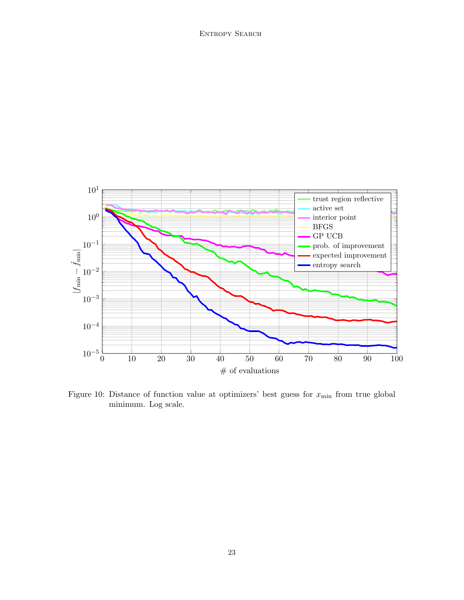

Figure 10: Distance of function value at optimizers' best guess for  $x_{\text{min}}$  from true global minimum. Log scale.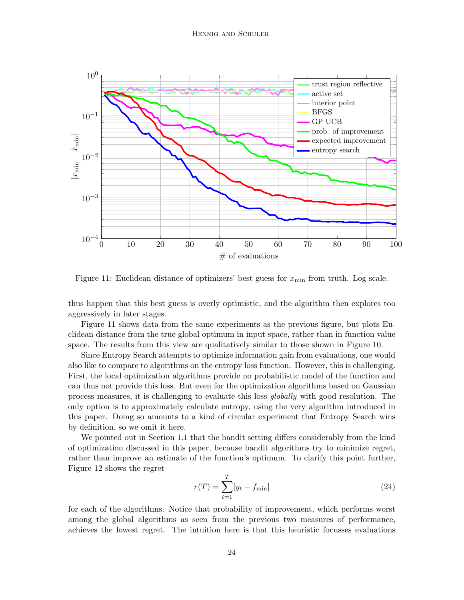

Figure 11: Euclidean distance of optimizers' best guess for  $x_{\min}$  from truth. Log scale.

thus happen that this best guess is overly optimistic, and the algorithm then explores too aggressively in later stages.

Figure 11 shows data from the same experiments as the previous figure, but plots Euclidean distance from the true global optimum in input space, rather than in function value space. The results from this view are qualitatively similar to those shown in Figure 10.

Since Entropy Search attempts to optimize information gain from evaluations, one would also like to compare to algorithms on the entropy loss function. However, this is challenging. First, the local optimization algorithms provide no probabilistic model of the function and can thus not provide this loss. But even for the optimization algorithms based on Gaussian process measures, it is challenging to evaluate this loss globally with good resolution. The only option is to approximately calculate entropy, using the very algorithm introduced in this paper. Doing so amounts to a kind of circular experiment that Entropy Search wins by definition, so we omit it here.

We pointed out in Section 1.1 that the bandit setting differs considerably from the kind of optimization discussed in this paper, because bandit algorithms try to minimize regret, rather than improve an estimate of the function's optimum. To clarify this point further, Figure 12 shows the regret

$$
r(T) = \sum_{t=1}^{T} [y_t - f_{\min}]
$$
\n(24)

for each of the algorithms. Notice that probability of improvement, which performs worst among the global algorithms as seen from the previous two measures of performance, achieves the lowest regret. The intuition here is that this heuristic focusses evaluations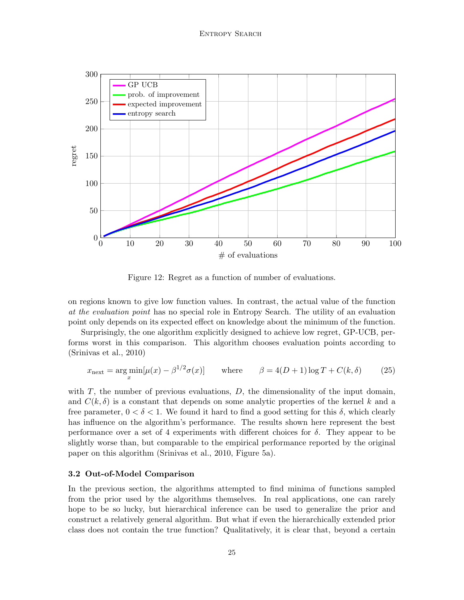

Figure 12: Regret as a function of number of evaluations.

on regions known to give low function values. In contrast, the actual value of the function at the evaluation point has no special role in Entropy Search. The utility of an evaluation point only depends on its expected effect on knowledge about the minimum of the function.

Surprisingly, the one algorithm explicitly designed to achieve low regret, GP-UCB, performs worst in this comparison. This algorithm chooses evaluation points according to (Srinivas et al., 2010)

$$
x_{\text{next}} = \underset{x}{\text{arg min}}[\mu(x) - \beta^{1/2}\sigma(x)] \quad \text{where} \quad \beta = 4(D+1)\log T + C(k,\delta) \quad (25)
$$

with  $T$ , the number of previous evaluations,  $D$ , the dimensionality of the input domain, and  $C(k, \delta)$  is a constant that depends on some analytic properties of the kernel k and a free parameter,  $0 < \delta < 1$ . We found it hard to find a good setting for this  $\delta$ , which clearly has influence on the algorithm's performance. The results shown here represent the best performance over a set of 4 experiments with different choices for  $\delta$ . They appear to be slightly worse than, but comparable to the empirical performance reported by the original paper on this algorithm (Srinivas et al., 2010, Figure 5a).

## 3.2 Out-of-Model Comparison

In the previous section, the algorithms attempted to find minima of functions sampled from the prior used by the algorithms themselves. In real applications, one can rarely hope to be so lucky, but hierarchical inference can be used to generalize the prior and construct a relatively general algorithm. But what if even the hierarchically extended prior class does not contain the true function? Qualitatively, it is clear that, beyond a certain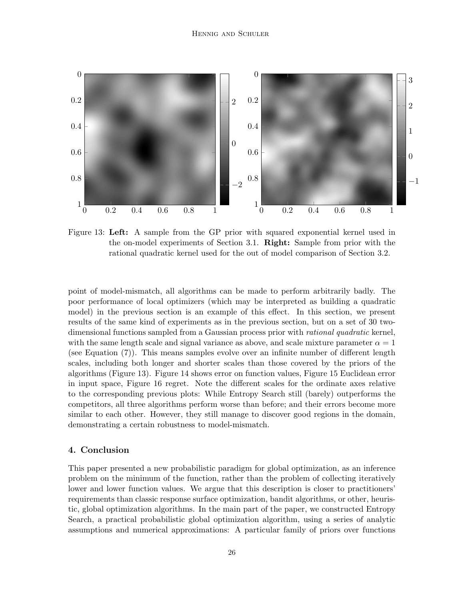

Figure 13: Left: A sample from the GP prior with squared exponential kernel used in the on-model experiments of Section 3.1. Right: Sample from prior with the rational quadratic kernel used for the out of model comparison of Section 3.2.

point of model-mismatch, all algorithms can be made to perform arbitrarily badly. The poor performance of local optimizers (which may be interpreted as building a quadratic model) in the previous section is an example of this effect. In this section, we present results of the same kind of experiments as in the previous section, but on a set of 30 twodimensional functions sampled from a Gaussian process prior with *rational quadratic* kernel, with the same length scale and signal variance as above, and scale mixture parameter  $\alpha = 1$ (see Equation (7)). This means samples evolve over an infinite number of different length scales, including both longer and shorter scales than those covered by the priors of the algorithms (Figure 13). Figure 14 shows error on function values, Figure 15 Euclidean error in input space, Figure 16 regret. Note the different scales for the ordinate axes relative to the corresponding previous plots: While Entropy Search still (barely) outperforms the competitors, all three algorithms perform worse than before; and their errors become more similar to each other. However, they still manage to discover good regions in the domain, demonstrating a certain robustness to model-mismatch.

## 4. Conclusion

This paper presented a new probabilistic paradigm for global optimization, as an inference problem on the minimum of the function, rather than the problem of collecting iteratively lower and lower function values. We argue that this description is closer to practitioners' requirements than classic response surface optimization, bandit algorithms, or other, heuristic, global optimization algorithms. In the main part of the paper, we constructed Entropy Search, a practical probabilistic global optimization algorithm, using a series of analytic assumptions and numerical approximations: A particular family of priors over functions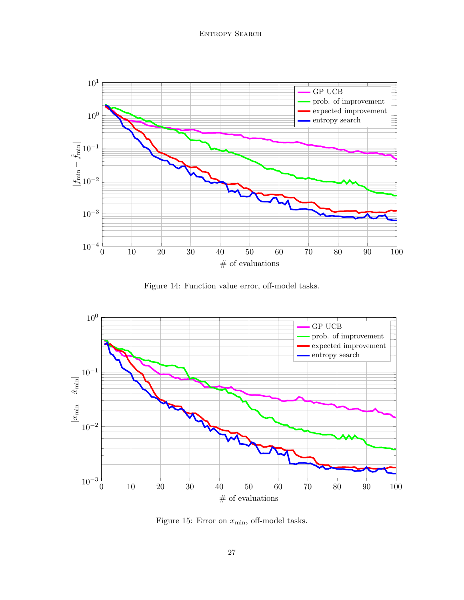

Figure 14: Function value error, off-model tasks.



Figure 15: Error on  $x_{\text{min}}$ , off-model tasks.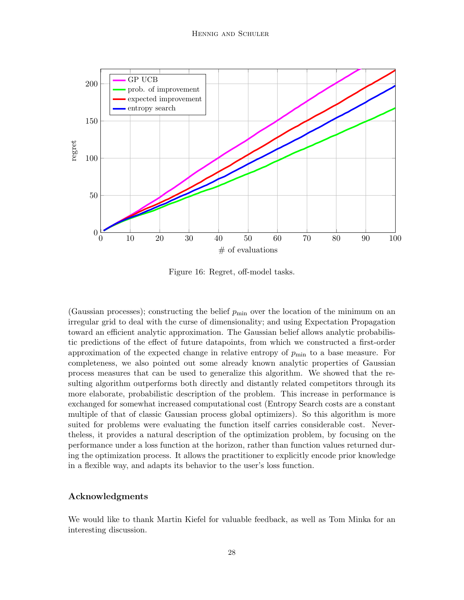

Figure 16: Regret, off-model tasks.

(Gaussian processes); constructing the belief  $p_{\min}$  over the location of the minimum on an irregular grid to deal with the curse of dimensionality; and using Expectation Propagation toward an efficient analytic approximation. The Gaussian belief allows analytic probabilistic predictions of the effect of future datapoints, from which we constructed a first-order approximation of the expected change in relative entropy of  $p_{\min}$  to a base measure. For completeness, we also pointed out some already known analytic properties of Gaussian process measures that can be used to generalize this algorithm. We showed that the resulting algorithm outperforms both directly and distantly related competitors through its more elaborate, probabilistic description of the problem. This increase in performance is exchanged for somewhat increased computational cost (Entropy Search costs are a constant multiple of that of classic Gaussian process global optimizers). So this algorithm is more suited for problems were evaluating the function itself carries considerable cost. Nevertheless, it provides a natural description of the optimization problem, by focusing on the performance under a loss function at the horizon, rather than function values returned during the optimization process. It allows the practitioner to explicitly encode prior knowledge in a flexible way, and adapts its behavior to the user's loss function.

## Acknowledgments

We would like to thank Martin Kiefel for valuable feedback, as well as Tom Minka for an interesting discussion.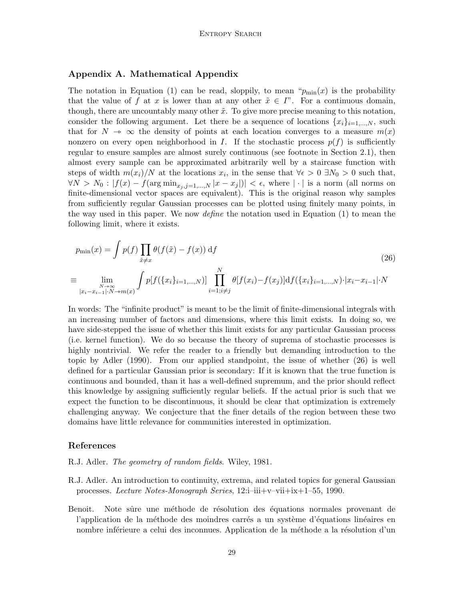## Appendix A. Mathematical Appendix

The notation in Equation (1) can be read, sloppily, to mean " $p_{\min}(x)$  is the probability that the value of f at x is lower than at any other  $\tilde{x} \in I$ ". For a continuous domain, though, there are uncountably many other  $\tilde{x}$ . To give more precise meaning to this notation, consider the following argument. Let there be a sequence of locations  $\{x_i\}_{i=1,\dots,N}$ , such that for  $N \to \infty$  the density of points at each location converges to a measure  $m(x)$ nonzero on every open neighborhood in I. If the stochastic process  $p(f)$  is sufficiently regular to ensure samples are almost surely continuous (see footnote in Section 2.1), then almost every sample can be approximated arbitrarily well by a staircase function with steps of width  $m(x_i)/N$  at the locations  $x_i$ , in the sense that  $\forall \epsilon > 0 \exists N_0 > 0$  such that,  $\forall N > N_0 : |f(x) - f(\arg\min_{x_i, j=1,\dots,N} |x - x_j|)| < \epsilon$ , where  $|\cdot|$  is a norm (all norms on finite-dimensional vector spaces are equivalent). This is the original reason why samples from sufficiently regular Gaussian processes can be plotted using finitely many points, in the way used in this paper. We now *define* the notation used in Equation  $(1)$  to mean the following limit, where it exists.

$$
p_{\min}(x) = \int p(f) \prod_{\tilde{x} \neq x} \theta(f(\tilde{x}) - f(x)) \, df
$$
\n
$$
\equiv \lim_{\substack{N \to \infty \\ |x_i - x_{i-1}| \cdot N \to m(x)}} \int p[f(\{x_i\}_{i=1,\dots,N})] \prod_{i=1; i \neq j}^N \theta[f(x_i) - f(x_j)] \, df(\{x_i\}_{i=1,\dots,N}) \cdot |x_i - x_{i-1}| \cdot N
$$
\n(26)

In words: The "infinite product" is meant to be the limit of finite-dimensional integrals with an increasing number of factors and dimensions, where this limit exists. In doing so, we have side-stepped the issue of whether this limit exists for any particular Gaussian process (i.e. kernel function). We do so because the theory of suprema of stochastic processes is highly nontrivial. We refer the reader to a friendly but demanding introduction to the topic by Adler (1990). From our applied standpoint, the issue of whether (26) is well defined for a particular Gaussian prior is secondary: If it is known that the true function is continuous and bounded, than it has a well-defined supremum, and the prior should reflect this knowledge by assigning sufficiently regular beliefs. If the actual prior is such that we expect the function to be discontinuous, it should be clear that optimization is extremely challenging anyway. We conjecture that the finer details of the region between these two domains have little relevance for communities interested in optimization.

#### References

- R.J. Adler. The geometry of random fields. Wiley, 1981.
- R.J. Adler. An introduction to continuity, extrema, and related topics for general Gaussian processes. Lecture Notes-Monograph Series, 12:i–iii+v–vii+ix+1–55, 1990.
- Benoit. Note sûre une méthode de résolution des équations normales provenant de l'application de la méthode des moindres carrés a un système d'équations linéaires en nombre inférieure a celui des inconnues. Application de la méthode a la résolution d'un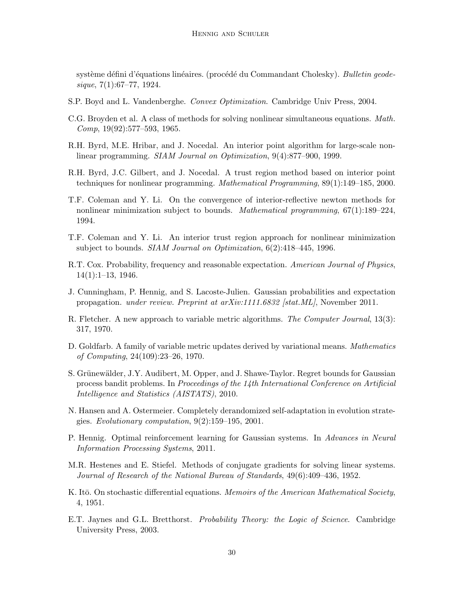système défini d'équations linéaires. (procédé du Commandant Cholesky). Bulletin geodesique, 7(1):67–77, 1924.

- S.P. Boyd and L. Vandenberghe. Convex Optimization. Cambridge Univ Press, 2004.
- C.G. Broyden et al. A class of methods for solving nonlinear simultaneous equations. Math. Comp, 19(92):577–593, 1965.
- R.H. Byrd, M.E. Hribar, and J. Nocedal. An interior point algorithm for large-scale nonlinear programming. SIAM Journal on Optimization, 9(4):877–900, 1999.
- R.H. Byrd, J.C. Gilbert, and J. Nocedal. A trust region method based on interior point techniques for nonlinear programming. Mathematical Programming, 89(1):149–185, 2000.
- T.F. Coleman and Y. Li. On the convergence of interior-reflective newton methods for nonlinear minimization subject to bounds. Mathematical programming, 67(1):189–224, 1994.
- T.F. Coleman and Y. Li. An interior trust region approach for nonlinear minimization subject to bounds. *SIAM Journal on Optimization*, 6(2):418–445, 1996.
- R.T. Cox. Probability, frequency and reasonable expectation. American Journal of Physics, 14(1):1–13, 1946.
- J. Cunningham, P. Hennig, and S. Lacoste-Julien. Gaussian probabilities and expectation propagation. under review. Preprint at arXiv:1111.6832 [stat.ML], November 2011.
- R. Fletcher. A new approach to variable metric algorithms. The Computer Journal, 13(3): 317, 1970.
- D. Goldfarb. A family of variable metric updates derived by variational means. Mathematics of Computing, 24(109):23–26, 1970.
- S. Grünewälder, J.Y. Audibert, M. Opper, and J. Shawe-Taylor. Regret bounds for Gaussian process bandit problems. In Proceedings of the 14th International Conference on Artificial Intelligence and Statistics (AISTATS), 2010.
- N. Hansen and A. Ostermeier. Completely derandomized self-adaptation in evolution strategies. Evolutionary computation,  $9(2):159-195$ , 2001.
- P. Hennig. Optimal reinforcement learning for Gaussian systems. In Advances in Neural Information Processing Systems, 2011.
- M.R. Hestenes and E. Stiefel. Methods of conjugate gradients for solving linear systems. Journal of Research of the National Bureau of Standards, 49(6):409–436, 1952.
- K. Itō. On stochastic differential equations. Memoirs of the American Mathematical Society, 4, 1951.
- E.T. Jaynes and G.L. Bretthorst. Probability Theory: the Logic of Science. Cambridge University Press, 2003.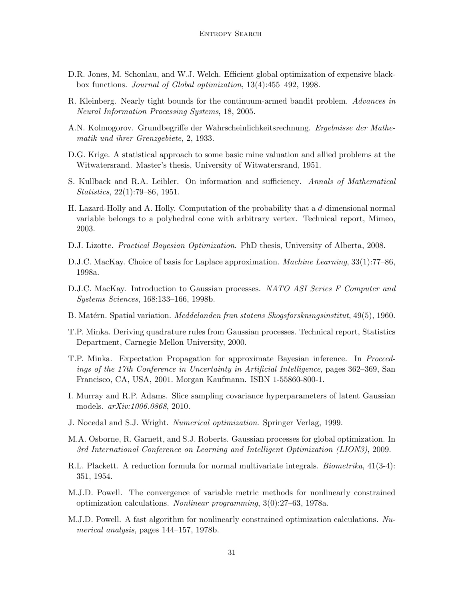- D.R. Jones, M. Schonlau, and W.J. Welch. Efficient global optimization of expensive blackbox functions. Journal of Global optimization, 13(4):455–492, 1998.
- R. Kleinberg. Nearly tight bounds for the continuum-armed bandit problem. Advances in Neural Information Processing Systems, 18, 2005.
- A.N. Kolmogorov. Grundbegriffe der Wahrscheinlichkeitsrechnung. Ergebnisse der Mathematik und ihrer Grenzgebiete, 2, 1933.
- D.G. Krige. A statistical approach to some basic mine valuation and allied problems at the Witwatersrand. Master's thesis, University of Witwatersrand, 1951.
- S. Kullback and R.A. Leibler. On information and sufficiency. Annals of Mathematical Statistics, 22(1):79–86, 1951.
- H. Lazard-Holly and A. Holly. Computation of the probability that a d-dimensional normal variable belongs to a polyhedral cone with arbitrary vertex. Technical report, Mimeo, 2003.
- D.J. Lizotte. Practical Bayesian Optimization. PhD thesis, University of Alberta, 2008.
- D.J.C. MacKay. Choice of basis for Laplace approximation. *Machine Learning*, 33(1):77–86, 1998a.
- D.J.C. MacKay. Introduction to Gaussian processes. NATO ASI Series F Computer and Systems Sciences, 168:133–166, 1998b.
- B. Matérn. Spatial variation. *Meddelanden fran statens Skogsforskningsinstitut*, 49(5), 1960.
- T.P. Minka. Deriving quadrature rules from Gaussian processes. Technical report, Statistics Department, Carnegie Mellon University, 2000.
- T.P. Minka. Expectation Propagation for approximate Bayesian inference. In Proceedings of the 17th Conference in Uncertainty in Artificial Intelligence, pages 362–369, San Francisco, CA, USA, 2001. Morgan Kaufmann. ISBN 1-55860-800-1.
- I. Murray and R.P. Adams. Slice sampling covariance hyperparameters of latent Gaussian models. arXiv:1006.0868, 2010.
- J. Nocedal and S.J. Wright. Numerical optimization. Springer Verlag, 1999.
- M.A. Osborne, R. Garnett, and S.J. Roberts. Gaussian processes for global optimization. In 3rd International Conference on Learning and Intelligent Optimization (LION3), 2009.
- R.L. Plackett. A reduction formula for normal multivariate integrals. Biometrika, 41(3-4): 351, 1954.
- M.J.D. Powell. The convergence of variable metric methods for nonlinearly constrained optimization calculations. Nonlinear programming, 3(0):27–63, 1978a.
- M.J.D. Powell. A fast algorithm for nonlinearly constrained optimization calculations. Numerical analysis, pages 144–157, 1978b.